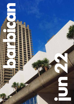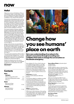

## **Hello!**

Welcome to summer at the Barbican. If the sun is shining there really is nowhere better to relax than our Lakeside Terrace, before heading into the Centre to explore our fabulous programme of exhibitions, music, theatre, film and events.

Championing and developing artists is such an important part of what we do. Open Lab in the Pit Theatre supports the creation of new work by sharing our facilities with dynamic young theatre-makers who want to push the boundaries of their craft. Meet some of those we're working with this year on pages 5-6 – and be sure to look out for their productions in the future.

The London Symphony Orchestra celebrates Swedish trumpet player Håkan Hardenberger's lifelong love of his instrument as he marks his 60th birthday (see page 12), while the Grammy award-winning singer-composer Arooj Aftab tells us how she writes her extraordinary music on page 14. Ambient musician William Basinski creates glacial work that's regarded as some of the most important of the genre. He looks back at the two decades since releasing his key work, *The Disintegration Loops,* ahead of a concert here (see page 3).

Interest in Afro-Futurism was renewed by the film *Black Panther* but this aesthetic, which sits at the intersection of Black pride, a reimagining of history and sci-fi, has existed for decades. We're looking back at some of the canonical films and their influence on current filmmakers from around the world in a new season this month (see page 2).

The creativity demonstrated by all these artists is a fundamental part of being human – it's what gives purpose to life. With this in mind, We Are Parable have organised an evening dedicated to finding your purpose (see page 4).

Whether you choose to see a new artist or someone you're familiar with, we are delighted to welcome you to the Barbican this month.

#### **Will Gompertz**

Artistic Director

## **Contents**

## **Now**

| Highlights                               |           |
|------------------------------------------|-----------|
| What's coming up this month              | $1 - 4$   |
| Meet these thrilling theatre-makers      | $5 - 6$   |
| What's on                                | 9–14      |
| Soon                                     |           |
| Book now for these<br>forthcoming events | $15 - 16$ |
| Always                                   |           |
| Enjoy the Barbican<br>at any time of day | 17–18     |



*Life Forces*, by Tin and Ed, 2021, one of the installations at new interactive exhbition, *Our Time on Earth*.

# **Change how you see humans' place on earth**

**Get a new understanding of our place in the planet's ecosystems through an exciting new exhibition that seeks to change the conversation on the climate emergency.**

New exhibition *Our Time on Earth* invites you to see global climate change in a new light by experiencing different perspectives from around the world and remembering that humans are one of millions of different species. While many of the interactive exhibits are in The Curve, you'll find plenty of others across the Centre – here's our guide to what you can discover.

#### **Life Forces** by Tin & Ed

Location: Level G, Barbican's Silk Street **Entrance** 

This interactive digital art installation provides a portal to nature, taking you on a vivid journey that reminds you of the fact that humans are part of nature, not separate from it. Included among the colourful and dynamic scenes are the journey of pollen and spores, rock formations and the blooming of flowers and mushrooms.

**Wither** by Thijs Biersteker Location: Well space, Level G

*Wither* aims to raise awareness of the startling rate of deforestation in the Amazon rainforest, by presenting visitors with a digital section of rainforest that changes with real-time data provided by UNESCO.

**Eyes as Big as Plates** by Karoline Hjorth and Riita Ikonen Location: Level G

Initially created as a play on characters from Nordic folklore, this photographic exploration of our connection to the natural world depicts characters that inhabit unique natural landscapes in wearable sculptures made from materials found in their surrounds.

**The Ideal city 2040** by Space 10 Location: Level G

Welcome to the Ideal City 2040. Viewed through virtual reality binoculars, experience a potential future where our cities are greener, healthier and more sustainable.

**Noise Aquarium** by Victoria Vesna Location: The Pit

This 3D audio visual immersive experience explores the effects of noise pollution on the plankton found in our oceans. Immersed in an underwater world, you're invited to create disruptive noises that clearly create a detrimental impact on the plankton.

**Our Time on Earth** Until 29 Aug See page 7 for details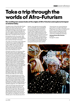# **Take a trip through the worlds of Afro-Futurism**

## **Our exciting new season looks at the origins of Afro-Futurism and explores its impact on cinema today.**

The global success of Marvel film *Black Panther* ignited a new interest in Afro-Futurism – the imagining of a future abundant with arts, science and technology, as seen through a Black lens. With its super-advanced technology and use of the imaginary substance Vibranium, the film is an excellent example of this intersection of Black pride, a reimagining of history, and sci-fi.

But long before the term was coined in 1994 by cultural critic and author Mark Dery, Black creatives were making films, music and literature that would later fall under the description.

This month we're launching a season dedicated to Afro-Futurism in cinema, travelling back in time for canonical films such as *Space is the Place* (1974), with musician Sun Ra, and *Made in America*, which looks at the work of free-jazz founder Ornette Coleman. From there, the programme expands to look at where Afro Futurism is now.

Among the recent films we're showing is 2016's *Kati, Kati* by Kenyan director Mbithi Masya which travels across temporalities to tell the story of a woman stuck in a sort-of purgatory; *Brown Girl Begins* by Canadian Sharon Lewis imagines a future of continued oppression for the poor, centring around a woman who must resurrect Caribbean spirits to assist with a revolution; and the UK debut of *Ratnik*, by Lagos-based filmmaker Dimeji Adebola. Made in 2020, the populist sci-fi film is set in a post-apocalyptic Nigeria and tells the story of a Third World War soldier Sarah Bello (played by Osas Ighodaro), who returns home on rotation to discover her sister is in the grip of drug addiction. In her fight to find a cure and overcome the evil drug barons who have ensnared her sibling, she stumbles upon a cutting-edge tech military bodysuit. After mastering the futuristic device, Bello sets out for revenge.

Adebola, who started drawing comic books as a child and initially aimed to make a career as an illustrator for a major international firm such as Marvel before becoming an animator, tells us he's always wanted to make a sci-fi film. A lifelong fan of the genre, he says he wishes there were more such films made by Africans, or with Black protagonists, such as *Black Panther*.

'I think one of the main reasons there haven't been as many sci-fi films from Africa is the technical skills in SFX haven't been there,' he tells us from his Lagos home. 'Also, it's capital intensive because you need a lot of SFX work after filming. But investors want you to shoot today and see it in cinemas in the next three or four months. So, if you tell them a sci-fi movie will take a year or more, they shy away from it.' Adebola, whose debut film *Hoodrush* (2012) was a musical thriller, says he wanted *Ratnik* to act as a proof-of-concept to the industry. He's hoping it will be the start of a boom in sci-fi films made in Nigeria and Africa more widely, and he's already starting to see results. 'Since I made it, investors and producers are already thinking OK, that movie that we thought we couldn't do back then, I think we can do now.' He says with Netflix reportedly looking to fund more Africa-centred films, there's a real sense of momentum. He's also planning to set up a visual effects training school to provide a strong technical base for other such films.

'Previously, there was a general belief that sci-fi is not for us, it's just for white people. Whenever you try to make a sci-fi movie, people are like, "Oh, come on, this is not African." But we're trying to change that narrative. I think sci-fi has no race. We all live in this world. We are all affected by technology.'

**Journeys Across Afro-Futurism** 2–30 June See page 9 for details



ace is the Place  $8$  © A North American Star System Production & Rapid Eye Movies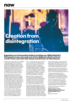

# **Creation from disintegration**

William Basinski will perform his new work *Lamentations* during this concert with the London Contemporary Orchestra

## **Regarded as one of the greatest ambient recordings ever, William Basinski's Disintegration Loops were made as he tried to digitise his collection of found sounds. Twenty years after their release, he looks back over their influence.**

In 2001, musician William Basinski was \$30,000 in debt and facing an eviction notice from the Brooklyn thrift shop he owned. Trawling through the vast 400sqft warehouse he and partner, artist James Elaine, shared, he started digitising his tape reels of found sounds and muzak using a CD burner he'd put on his over-stretched credit card. The results – *The Disintegration Loops* – became one of the most important ambient albums of all time.

He recounts the tale over Zoom from Los Angeles, where he lives now: As he was digitising the loops of tape reel, he popped out to get a coffee. On returning, he noticed the metal surfaces of the tapes were falling off, creating delicate, sparse waves of sound. Over the next two days he recorded what was to become the four-album series that made his name. Calling his friends, he told them, 'you won't believe what's happened – get over here'. 'People came over, we flopped around in that gorgeous loft, listening to it on huge speakers and just tripped out.'

He says he knew it was an extraordinary work as soon as he heard it. 'And so did everyone else that did. But I didn't know what I was going to do with it. I couldn't release a box set because no one knew who I was. And I was \$30,000 in debt.'

Then on 11 September that year, he watched in horror from the roof of his Williamsburg home as the Twin Towers in New York were hit by terrorists. 'When 9/11 happened, everything changed. The world changed. I managed to capture the last hour of daylight on my friend's video camera on a tripod on the roof of our building. And I got up the next morning and put *Disintegration 1.1* on, and it was suddenly like, "well, this is an epiphany". Everything's changed now. I mean, look around us now. Everything is so fucked up.'

Stills from the film he made became the artwork for the albums that started with a very limited release and have continued to be pressed ever since. Critics were unanimous in their praise. He says the records got him out of debt, and he's toured the world ever since, performing and making new music.

There will be an opportunity to hear some of this glacial, minimalist masterpiece when the London Contemporary Orchestra performs an arrangement of it this month. Basinski will also perform his latest release, 2020's *Lamentations*. It's another extraordinary record, made as he delved back into his vast collection of tapes. 'I'd pulled up this takeout container with these forlorn reject loops and thought "yeah, let's give the ugly kids a chance",' he grins. 'I found these

loops with that sample of opera that became [penultimate track] 'Please This Shit Has Got To Stop'. When I had that piece, I knew we had a double album. Anyway, by the time it came out, it was by the beginning of the pandemic.'

Another enormous world-altering event that preceded the release of your music? He laughs darkly: 'My friends and I joke that my drag name or DJ name should be Empress Sorry Y'all.

'I've been working really hard on the *Lamentations* set. I'm not just going to be playing the record. I think people will need to be prepared to [adopts southern US drawl] *get their minds blown*. I'm really excited about it.'

'That's the whole thing about my concerts. Every venue is different. It's not like listening to it in your house or on your headphones; you get to go and hear these massive sound systems resonating in these beautiful places.'

We couldn't think of a more appropriate setting for this epic work.

**William Basinski with the London Contemporary Orchestra: The Disintegration Loops** 9 Jun

See page 13 for details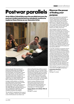# **Postwar parallels**

**Artist Abbas Zahedi discusses the parallels between the postwar modern period and our pandemic world as he explores these themes as our Associate Artist.** 



Artist Abbas Zahedi working with some of the Barbican Young Creatives in the temporary studio on Level G.

In the two decades following the Second World War, British people were dealing with the aftermath of this catastrophic conflict: financial hardships, returning soldiers, families mourning loved ones, war injuries, and the dawn of the nuclear age. How artists saw and responded to these issues is tackled in our 'exceptional' (*The Guardian*) exhibition *Postwar Modern: New Art in Britain 1945-65*, which takes a refreshing new look at the period.

In tandem with the exhibition, our Associate Artist Abbas Zahedi is examining the parallels between that time and where we find ourselves today. Through a public programme encompassing an open studio, public tours, talks, digital offerings, screenings, performances and a Young Barbican Weekender, Zahedi will respond directly to artists, artworks and themes presented in the exhibition.

'The main idea I'm considering is this concept of "post-",' he explains. 'The term "post" nowadays is a term that has become very trendy to use;

almost anything that's been defined, someone tries to say we're "post" it. For example, things like post-COVID, post-Brexit, post-war on terror, post-internet, post-gender, post-race. I feel like a lot of artists are also grappling with that. We make these definitions so as to give us some space, to create a distance from something that might be uncomfortable or difficult to think about. Then, it was post-war; now we're talking about issues of race, gender and reality.'

Zahedi is working with Barbican Young Poets and the Young Visual Arts Group, and used a temporary studio set up on Level G. See some of the results of this work for yourself at at a weekend celebration of his project on 4–5 Jun. (see page 7).

**Postwar Modern: Art in Britain 1945–65** Until 26 Jun See page 7 for details

## **Discover the power of finding your purpose**

Prepare to be inspired at an evening about discovering the power of creativity and purpose. Organised by We Are Parable, the award winning company which provides audiences with opportunities to experience Black Cinema in culturally relevant, unique ways, An Evening Of Purpose will feature film, music, spoken word and conversation, hosted by author of *Purpose: Find Your Truth and Embrace Your Calling*, Jessica Huie.

We Are Parable co-founder and creative director Anthony Andrews says: 'We want to look at how we've all changed over the last two years: how we communicate, work and look. One of the things that has been affected by that is how we see ourselves, how we approach giving our lives purpose. So we want to explore how people now think about their own purpose by showing how some of the people we've invited are living in their purpose. It might be someone who's created a film in lockdown or musicians who have really doubled down on their efforts. It's a celebration of people who have been able to make that transition. The aim is to create an opportunity for the audience to feel empowered by that.'

Co-founder and director of operations Teanne Andrews says this feeling of finding purpose reflects their own journey with We Are Parable. 'It came out from that purpose-driven action of wanting to bring a film that we hadn't seen in the cinema onto the big screen, coupled with the idea of being passionate about something too. That underpins a lot of the purpose of the work that we're doing now in terms of working with emerging Black Filmmakers, showcasing their work, sharing Black cinema as a whole and giving opportunities for audiences to not only experience but also respond to what they're seeing. We originally started this as a passion project and now it's our full time jobs.'

We Are Parable is a long term partner of our Communities and Neighbourhoods team.

#### **An Evening of Purpose** 24 Jun

See page 9 for details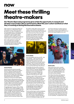# **Meet these thrilling theatre-makers**

**Our Theatre Open Lab programme gives artists the opportunity to research and develop a new project, idea or performance. Meet this year's cohort and find out what they're working on during this innovative scheme.**

With a passion for supporting excellent new talent, each year our Theatre team selects six artists for our Open Lab programme. The scheme gives early- or mid-career artists the opportunity to research and develop a new project, which we support with a cash grant, a week's residency with full technical provision, training with our staff and industry experts, and mentoring sessions.

We're really excited to be working with these unmissable artists, and highly recommend you look out for their work. We asked them all to introduce themselves and share what they're working on.



#### **Seemia Theatre**

Award-winning international ensemble Seemia Theatre is made up of six members from Iran, Argentina and the UK, led by Iranian director Sara Amini. It believes in theatre as a tool to open doors and break down barriers, and through socially-engaged devised performances, the company endeavours to bring communities together.

Seemia Theatre's devised performances fuse European physical theatre and musicality, British script-writing and Persian storytelling 'in order to make a vibrant mural of stories to connect audiences with current social and political issues,' says producer Robin Paley York.

During Open Lab, the group will be working on *TAKE ON THIS*, 'a bold investigation of the role of the terrorist, the terrorised, the spectator and the investigator; examining prejudice and racism'. He adds: 'We plan to present a blended digital experience and live performance in our first play fusing physical theatre with audio-visuals, live and pre-recorded video, projection and live streaming. Using an app,

the audience will be able to choose who they suspect, as we ask them to interrogate their prejudice. We want to look at how much people take media and social media at face value.

'The opportunity to play and experiment in the Open Lab and The Pit, with incredible technicians for the first time in two years since the pandemic has been fantastic. It has given us the drive to keep creating at such a politically divisive time.'



#### **Clumsy Bodies**

Trans and disabled artists Jess and Oli – aka Clumsy Bodies – make work about trans issues through the lens of their romantic relationship. They say their work is silly, playful, unconventional and strongly rooted in multimedia. 'We try to tap into less explored genres. We are big fans of horror tropes and not so much fans of the fourth wall,' they say.

During Open Lab, they will be working on *Clumsy Body Doubles*. 'It's a comedy-horror about us hiring our cisgender doppelgangers to take over our lives in response to the phenomenon of cis actors playing trans roles. We may lose grip on reality while making it, but hey, that's the arts, right?

'During our week in The Pit, we want to explore ways to stage horror in theatre that can evoke the same strong emotional responses as watching a horror movie in the dead of night. We are also really interested in how you can bring tropes like found footage into the theatrical space and blur that line with reality.

 'Or, we will just hire a ridiculous amount of doppelgangers to be on-stage with us and have groups of Scarlett Johansson and Gordon Ramsay impersonators walk in and out of the Barbican.'

The two say they hope to continue developing and testing the production throughout the year, so keep an eye out for opportunities to see it. 'We are also currently developing a trans horror residency with Sick of the Fringe and Live Art Development Agency later this

year. We are planning on inviting a group of trans and/or non-binary artists to explore the representation of trans people within horror and how we can reclaim the genre as our own.'



#### **Krishna Istha**

Writer, performance artist, comedian and theatre-maker Istha makes sociallyconscious work that frequently addresses taboo or underrepresented topics such as sex work, critical feminist theory, and trans and non-binary identities.

Their Open Lab project is the beginning of a huge five-year undertaking about motherhood that will result in three linked works. 'I am planning to be a parent and to carry a child, so the first part of the work is a one-to-one interactive performance interview, where I audition audience members to find my perfect sperm donor.

'The second part is a show with my mother, when I am actually pregnant. She's never made any theatre, but this will be a show she's devised that I am in. It came about because a year ago, she told me stories about her life that she hadn't told anyone. She told me she'd had a child before me who went missing from the hospital and was never found. What stuck with me was she said that she hadn't told anyone because no one would listen. I wondered what I could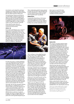## **now soon always**

do to help her, and I realised the only thing I could give was a theatre show, which I think is quite therapeutic, healing and cathartic because that's the release I get from making work.

The final third part will be the actual birth of my child. Ideally, I would love to give birth on stage as an artist, but that's probably going to be logistically and medically impossible, so I'm going to find another way to incorporate it into this trilogy, either as a video or audio or another way I will incorporate it artistically.'

At the end of the project, Istha will archive all three parts, so they become a performance documentary.

#### **emma + pj**

Emma Clark and PJ Stanley met on a Master's programme at Central Saint Martins. Their collaborative, interdisciplinary work sits in the space between theatre and live art. 'A lot of our work tries to grapple with quite large macro global topics, such as the climate emergency, and finding ways of processing those topics through intimate, personal, emotional lenses,' says Clark. 'We try and make work about things that frighten us, rather than things that we're confident in,' adds Stanley.



For Open Lab, emma + pj will be developing a new work called *Ghosts of the Near Future*, which tackles 'extinctions: climatic, cultural, civilisational'. Stanley says: 'This all came out of the pandemic, as we're in this strange liminal transitional moment between the "nice happy before times" and whatever we're moving into next. There's this sense everyone has that things are very, very bad, but also are getting worse. But we didn't want to make a COVID play, and we didn't want to make a play about icebergs melting. We wanted to make something that was about that feeling. Because until you can confront the feeling that underlies all of these big issues, you can never really deal with them politically. No matter how up to date you are on the issue or the discourse, ultimately, it's the emotional response that comes first. And that's what we want to grapple with in this piece.'

Clark adds: 'We were also interested in thinking about extinction in a kaleidoscopic way. To examine it all the way from the really personal – such as personal mortality or grief – to a global or universal sense of long timescales and eventual extinction on a planetary level.'

While the theme is extinction, it's explored through a story about a magician figure who's travelling to Las Vegas through the desert to perform the world's greatest disappearing act.

'We're unbelievably grateful for being selected for Open Lab and want to take full opportunity of what it represents for us, which is a chance not only to level up aspects of the show, but also for people to see it,' says Stanley.

#### **HiddenViewz**

Crawford Kalu, Rachel Mervis, Clint Mwaka and Andrea Lungay met at drama school and formed HiddenViewz to bring a different perspective to the arts and provide a platform for those who are often overlooked in society.



'We're working on a show called *Nyumbani Lounge*, which is set in a 1930s Black British bar,' says Lungay. 'The 1930s is really pivotal in Black British history, because it's an important time for the first British-born Black people of the time and how they grew. We thought it'd be very important for reflecting us as a company, but also that time period. The show's immersive. It exists within a bar, and the audience sits on stage with the action happening all around them.

'Eventually, we'd like this show to take place in unconventional spaces, such as a real bar. So as well as utilising the Open Lab opportunity to express ourselves to the larger scale theatres and venues, we're also looking at how we can utilise our network within bars and lounges and restaurants and bring theatre to a space that might not have even thought to have it there.'

Mwaka says, 'A lot of the characters who are portrayed in *Nyumbani Lounge* had their own mini storylines, and so we've bonded it to create one timeline of what happens.'

While we see many different stories, the whole plot takes place during one night at a bar. It includes a lot of Black cultural history from a time that's not often discussed, adds Mervis. 'Another element of this production is ancestry,' says Lungay. 'We wanted to play with the idea of ancestors existing within the space that we make as Black creatives. And we're including elements of stories we were told as kids, like Anansi the Spider, that my mum told me from the Caribbean.'

Mervis says as a result of the Open Lab experience, the group is hoping to attract the attention of venues that would like to host the production.



#### **Asylum Arts**

This company is headed by Stephen Bailey, a neurodivergent/disabled theatre-maker who explores reclaiming classic texts and representations of disability through a political disabled lens. For Open Lab, he is 'examining historic presentations of disability on film, and particularly why it's such a common trend that the same old figures and characters are played by non-disabled actors, why those performances are so often garlanded with awards, and what that says about how we think about disability'. He says he's interested in the idea that disability is symbolic, that disabled people are either villains or they're being punished, or disability represents an error that they've made. 'Or it's a barrier for someone to overcome, which in older movies almost invariably involves life-changing surgery.'

While *Who Plays Who* (the production's working title) is still in development, Bailey says it's likely to involve interpolated film footage. Picking through archive or historical movies, he's considering how actors might respond or reinterpret them on stage. He says he's planning to select well-known films such as *The Hunchback of Notre Dame* or *My Left Foot* so people can relate to them. There will be an opportunity to see the finished work at Liberty Festival, the Mayor of London's flagship showcase of high-quality work by D/deaf and disabled artists, taking place in late July.

Bailey is artistic director of Asylum Arts, an organisation focused on better representation and engagement with neurodivergent and disabled artists in the wider theatre community.

Open Lab is made possible thanks to support from people such as you, through donations, and Arts Council England. Find out more about how you can support this important work at barbican.org.uk/support-us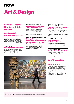

# **Art & Design**

## **Postwar Modern: New Art in Britain 1945–1965**

## **Until 26 Jun, Art Gallery Postwar Modern: New Art in Britain 1945–1965**

A landmark reassessment of the art produced in Britain after the Second World War, in which artists imagined the world anew. The exhibition features 48 artists and around 200 works of painting, sculpture, photography, collage and installation. (£18)

### **4–5 Jun, Art Gallery Postwar Modern Weekender**

A collection of workshops, performances, and activities led by a group of Young Creatives, all inspired by Abbas Zahedi's Age of Many Posts project. (Young Barbican Tickets £5).

### **Thu 9 Jun, 6.30pm, Art Gallery Exhibition Tour with Abbas Zahedi and Abbas Faiz**

Join us on a gallery tour where Abbas Zahedi, together and human rights lawyer and poet,Abbas Faiz of Exiled Writers Ink, explore and discuss ideas around migration, exiles and activism.

### **Thu 19 Jun 9am, Frobisher Auditorium 2 Strange Universe: Explorations of the Modern in Postwar Britain 1945–1965**

This one-day symposium is a collaboration with the Paul Mellon Centre for Studies in British Art and will explore how the art world was reimagined in the years after the Second World War.

#### **Tue 14 Jun, 6.30pm, Art Gallery, Conservatory & The Curve Members' Late: Our Time on Earth + Postwar Modern**

Get behind the scenes and explore the Centre after-hours, with access to both exhibitions, curator talks, creative workshops, our Garden Room bar, a self-guided Conservatory trail, and more. (£5)

## **Wed 22 Jun, 10am, Art Gallery Relaxed Viewing of Postwar Modern**

These are intended for anyone who may benefit from a very relaxed environment, where you can enter and exit more freely. (£13\*)

## **Fri 24 Jun 1pm, Art Gallery Curator Tour with Hilary Floe**

Assistant Curator of Postwar Modern, Hilary Floe, leads a tour of Postwar Modern, focusing on some of her personal highlights from the exhibition.

## **Our Time on Earth**

## **Until 29 August, The Curve Our Time on Earth**

A major new exhibition seeking to transform the conversation around the climate emergency, aiming to to empower visitors to make a positive change through exploring a range of radical visions for the future of all species. The exhibition includes 18 works, including 12 new commissions, from 12 countries around the world. (£18\*)



Postwar Modern: New Art in Britain 1945 - 1965, installation view. © Tim Whitby / Getty Images

For full programme information, including opening times, please visit **barbican.org.uk**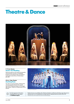# **Theatre & Dance**



Gecko: *The Wedding* © Rocio Chacon

## **7—11 Jun, Theatre Gecko: The Wedding**

Seducing audiences with intricate choreography and provocative narratives, The Wedding brings the union between state and individual into question amid a flurry of white dresses. (£10–30\*)

## **25 Jun—3 Sep, Theatre Anything Goes**

The sold-out musical sensation, Anything Goes returns by popular demand. The 'musical equivalent of sipping one glass of champagne after another' is back for a limited season. (From £29.50\*)



For full programme information, including artist line ups, please visit **barbican.org.uk**



Kerry Ellis stars in *Anything Goes.* 

Details of prices are available online. Barbican Members and Business Members enjoy discounts on selected events. Join Young Barbican and get tickets for selected events for just £5, £10 or £15 \*Booking Fees: £3 per online transaction. Some events have reduced booking fees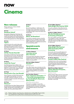# **Cinema**

## **New releases**

Please note the new release schedule is subject to change

## **Fri 3 Jun Bergman Island#**

Starring Mia Wasikowska, Vicky Krieps and Tim Roth, this new film-within-a-film from Mia Hansen-Løve explores love and filmmaking, set on the island that 'starred' in Ingmar Bergman's divorce-inducing Scenes from a Marriage. (£12\*)

## **Fri 3 Jun Tigers#**

A powerful look at the world of elite sports. When prodigious young footballer Martin (Erik Enge) is bought by an Serie A club, his dream move turns out to be more complicated than he imagined. (£12\*)

### **Fri 10 Jun All My Friends Hate Me#**

This inventive comedy-horror focusses on Pete (Tom Stourton) as he reunites with old college friends. But are they just playing with him, or do their pranks have something more sinister behind them? (£12\*)

## **Fri 10 Jun Leave No Traces#**

This Polish historical drama follows Jurek (Tomasz Zietek), the only eyewitness to the fatal beating of a famous poet's son in 1938. What follows is a quest for justice, against a system that wants to deny the truth. (£12\*)

## **Fri 17 Jun Good Luck to You, Leo Grande#**

Emma Thompson and Daryl McCormack star in this tightly-constructed tale, of a 55-yearold widow looking for excitement, sex and connection from her encounters with young sex worker Leo. (£12\*)

## **Fri 17 Jun Pleasure#**

This debut feature from Ninja Thyberg centres the female experience and the psychological journey of Bella, a Swedish 19 year old seeking to make herself a star in the world of US porn. (£12\*)

#### **Fri 24 Jun Elvis#**

Baz Luhrmann (Romeo + Juliet) returns with this biopic of Elvis Presley (Austin Butler), and his fraught relationship with his successful yet controlling manager Colonel Tom Parker (Tom Hanks). (£12\*)

## **Fri 24 Jun Moon, 66 Questions#**

From director Jacqueline Lentzou comes this Athens-set story of a daughter, Artemis (Sofia Kokkali), who discovers a secret of her ailing father, enabling her to understand and care for him for the first time. (£12\*)

## **Special events and seasons**

## **2–30 Jun, Cinema 2 Journeys across Afro-Futurism**

This six-part season speculates on the impact and directions that the ideas and cultural aesthetic of Afro-Futurism has taken within the medium of cinema. (£12\*)

### **Sat 4 Jun 5.55pm, Cinema 1** Hamlet<sup>12A</sup>

**Met Opera Live**

Tenor Allan Clayton stars in the title role of this contemporary opera of William Shakespeare's famous drama, alongside Neil Armfield's acclaimed staging for this new production. (£37\*)

## **Sun 5 Jun 3pm, Cinema 1 Early Japanese Animation 12A\* + live synth accompaniment by the Guildhall's Electronic Music Studio**

**Silent Film and Live Music**

We present a compilation of very early Japanese animated films, with live synthesiser accompaniment, by composers and musicians of the Guildhall's Electronic Music Studio. (£13.50\*)

Barbican Members enjoy discounts on selected events, including 20% off cinema tickets. Join Young Barbican and get tickets for selected events for just £5, £10 or £15. \*Booking Fees: £3 per online transaction. Some events have reduced booking fees. Barbican Members don't pay booking fees.

## **21 Jun 6.30pm, Cinema 3 Oska Bright Film Festival 2022**

Join us for a collection of short films from the world's leading learning disability film festival. (£8\*)

### **Fri 24 Jun, 6.30pm, Cinema 1 We Are Parable presents An Evening of Purpose**

Film, music, spoken word and conversation come together to create a night which celebrates purpose, hosted in collaboration with author Jessica Huie MBE. (Check website for ticket prices)

## **25 Jun 3.30pm, Cinema 3 Oska Bright Film Festival 2022: Emerging Talent Screening**

Discover the work of young filmmakers from the world's leading learning disability film festival, curated by the Young Oska Bright team, featuring an amazing diversity of talent. (£8\*)

## **25–29 Jun, Cinema 2 London Indian Film Festival**

The festival returns with an exciting selection of Brit-Asian shorts and a showcase of films by pioneering queer director Riyad Vinci Wadia, including his landmark short Bomgay. (£12\*–£13.50\*)

### **Wed 29 Jun 6.45pm, Cinema 3 Adrian Wootton Presents… Baz Luhrmann**

**Members' Event**

With the release of Baz Luhrmann's epic biopic Elvis, Film London CEO and movie historian Adrian Wootton OBE gives this illustrated talk about the brilliantly talented Australian filmmaker's career. (£9)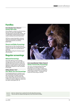## **Families**

#### $\overline{a}$ **Every Saturday 11am, Cinema 2 Family Film Club**

Come along for a variety of new films (including the return of a famous blue hedgehog), international gems and cinematic surprises, with a monthly Show and Tell introduction and free creative workshop at the end of each month.

We'll be on summer break after in July and August, but we'll be back in September with more great family films and activities.  $(E2.50 - 3.50^*)$ 

## **Parent and Baby Screenings**

Enjoy the best new films every Saturday and Monday morning with your little ones of twelve months and under, at our specially tailored screenings.

Sign up to the mailing list at barbican.org.uk/ parentandbaby

## **Regular screenings**

## **Relaxed Screenings**

One Friday afternoon and one Tuesday evening in every month, we screen a film in a specially tailored environment for adults who may be on the autistic spectrum, have Tourette Syndrome, anxiety, sensory or other learning difficulties. A companion or carer may attend for free. (£8\*)

### **Fridays, Cinema 1, 2 & 3 Pay What You Can Screenings**

If our standard ticket price is a barrier, or you want to help others enjoy a visit to the cinema, then come along to our PWYC screenings of new release films, which take place every Friday. It starts at £3 and goes up in increments to £15 if you're able to support our scheme and your fellow cinema goers. (£3–15).



Brown Girl Begins, 2019. Part of Journeys across Afro-Futurism, 2–30 June

### **Every second Monday 11.45am, Cinema 2 Senior Community Screenings**

Join us for a morning screening of the latest new releases, in our Senior Community Screenings. If you're an elder or retired, this is a great place to come together and enjoy films in the company of others – and you can bring family and friends along as well. (£6\*)



Most new releases have a captioned and audio-described screenings. There are also two relaxed screenings every month. See online for details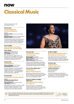# **Classical Music**

All events take place in the Hall unless otherwise stated

### **Thu 2 Jun 7pm London Symphony Orchestra/Pappano**

Includes: **Antonio Vivaldi** Concerto for Four Violins in  $R$  minor **Goffredo Petrassi** Concerto for Orchestra No 5 **Giacomo Puccini** *Capriccio sinfonico*

From Renaissance Venice to the streets of postwar Rome, Sir Antonio Pappano explores the passion, the melody and the sun-kissed colours of an Italy we almost never hear. (£18–60\*)

## **Fri 3 Jun 7.30pm Oslo Philharmonic/Klaus Mäkelä with Lise Davidsen**

**Gustav Mahler** 

'Adagio' from Symphony No 10 **Alban Berg** *Seven Early Songs* **Jean Sibelius** Symphony No 5

Enjoy Lise Davidsen's sublime soprano, as she closes her artist spotlight in the company of Scandinavia's super-orchestra and their electrifying Chief Conductor. (£15–55\*)

## **Sun 5 Jun 7pm LSO/Pappano**

**Ottorino Respighi** *Church Windows* **Luigi Dallapiccola** *Il prigioniero*

Sir Antonio Pappano, the London Symphony Orchestra and Chorus are joined by star soloists to champion one of the masterpieces of 20th-century opera – Luigi Dallapiccola's shattering *Il prigioniero*. (£18–60\*)

## **Sun 12 Jun 7pm LSO/Rattle & Imogen Cooper**

Includes: **Wolfgang Amadeus Mozart**  Piano Concerto No 18 **George Gershwin** *An American in Paris* **John Adams** *I Still Dance*

High spirits and summer sun, as Sir Simon Rattle and pianist Imogen Cooper take on music by Haydn, Mozart, and Gershwin – plus a showstopper from John Adams. (£18–60\*)



Lise Davidsen © Ole Jørgen Bratland

## **Thu 16 Jun 7pm LSO/Rattle & Håkan Hardenberger**

**György Ligeti** *Atmosphères* **Richard Wagner** Prelude to *Lohengrin* **Betsy Jolas** *Histoires vraies* **Johannes Brahms** Symphony No 2

Brahms's most lyrical symphony meets three composers who redefine the power of sound, in this Artist Portrait concert featuring Håkan Hardenberger and Roger Muraro. (£18–60\*)

### **Fri 17 Jun 7pm, LSO St Luke's LSO/Simovic: Rózsa Violin Concerto**

Spellbinding melodies: LSO Leader Roman Simovic performs the Violin Concerto by Miklós Rózsa, the Hollywood legend behind classic film scores including *Ben-Hur*. (£35\*)

#### **Sat 25 Jun 10.30am & 12.30pm, LSO St Luke's LSO: Musical Storytelling for Under-5s**

Dance and sing your way through this interactive concert for mini music-makers, as London Symphony Orchestra musicians retell a children's story through music. (£5–7\*)

## **Tue 28 Jun 7.30pm Britten Sinfonia/Opera Rara: Mercadante's Il proscritto**

Opera Rara Artistic Director Carlo Rizzi joins Britten Sinfonia and an exceptional cast in a revival of Mercadante's *Il proscritto*: a tragic tale of lost love and political treachery. (£12.50–42\*)

### **Thu 30 Jun 7pm LSO/Gardiner & Maria João Pires**

#### **Ludwig van Beethoven**

*Leonore* Overture No 2 Piano Concerto No 2 Symphony No 4

Sir John Eliot Gardiner joins pianist Maria João Pires in an exploration of Beethoven at his uninhibited best – music that sings, dances and glitters with youthful energy. (£18–60\*)



Visit our website for full programme information, including concerts from the Barbican Presents series, London Symphony Orchestra and our other associate orchestras, or contact the Box Office to be posted our current Classical Music brochure.

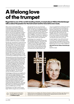# **A lifelong love of the trumpet**

**Regarded as one of the world's leading soloists, trumpet player Håkan Hardenberger tells us about his passion for the instrument and for innovative new music.**

When virtuoso trumpet player Håkan Hardenberger steps onto the stage for his London Symphony Orchestra Artist Portrait concert this month, he'll be playing French-American composer Betsy Jolas's evocative *Histoires vraies*. The story behind this wonderful work is one of deep friendship: the trumpeter first met Jolas when she was a teacher at Paris Conservatoire in the 1970s. Hardenberger was a student there at the time, and Jolas's son Antoine was in his class. The Jolas family and the Swedish trumpet player struck up a friendship, but after he left the Conservatoire, it dwindled.

Decades later, Hardenberger recalls performing with pianist Roger Muraro, and the two got on like a house on fire. Turning to each other, they said: 'Wouldn't it be nice if we had something to play together? Something where the roles are more equal?' Muraro suggested Jolas as someone who could write such a piece; the trumpet player recounted his early years with her, but said they'd not been in contact for a long time. 'So we got in touch with her, and she loved the idea of writing something for us both, so we have this wonderful piece, *Histoires vraies*.'

Opening with the sounds of the orchestra tuning up, and including the piano lid being banged at various points through the performance, the extraordinary work features 'the sounds we try not to hear,' says the composer. 'The music has a very specific language,' says Hardenberger. 'It couldn't be anything other than French. But it also has a Second Viennese feel; it's very expressive, like Alban Berg. I love it that as a trumpet player, I get to be the comforting voice. That's very rare and unusual because we're usually the protagonist – the noisy, terrible one. But in this piece, the piano is noisier.'

Hardenberger and Muraro are reunited for this concert with the London Symphony Orchestra, which celebrates (slightly belatedly, due to you-know-what) the trumpeter's 60th birthday. Alongside the Jolas, the orchestra will perform Wagner's *Lohengrin* prelude and Ligeti's mind-expanding *Atmosphères*, both of which break music down to its elements to create sonorities that defy the imagination. They make perfect partners for Brahms's sunny Symphony No 2. Also as part of the Artist Portrait, he'll perform at LSO St Luke's on 27 May.

Hardenberger's love affair with the trumpet began when he was given one as a Christmas gift aged eight. He says none of his family played music, and no one listened to classical music. 'So I didn't carry any baggage going into this. For me, everything was like a new discovery. The trumpet suited me, and I also might have suited the trumpet in that respect because of that lack of baggage. If I'd come from a family of doctors or lawyers, where the son is supposed to play a "cultured instrument" like the violin, then maybe all of this wouldn't have happened.'

Hardenberger has a reputation for championing new music and a roaming mind that's attracted to the novel. 'Who knows, if the trumpet had four Beethoven concertos and a Brahms concerto, things might be different, but we don't. We have the Haydn, we have some nice Bach, we have some great quality works, but we don't have all that much. And we certainly have very little romantic music.

'I saw very quickly that if I wanted to have stories to tell, I would have to look to something new, because it simply didn't exist. So I started very early to look in that direction, with great help from people like Elgar Howarth and Harrison Birtwistle, whose work I performed in the mid-80s. At that time, it was quite sensational that a major composer in his prime decided to write a solo work for the trumpet. And then I saw that this was the way for me to go.

So what's kept him in love with the instrument for 52 years? 'New works have always given me new energy, new thoughts and new ways to develop the instrument or my own playing, and I like that aspect very much. It's like an adventure.'

**LSO Artist Portrait: Håkan Hardenberger**  16 Jun See left for details



Håkan Hardenberger © Marco Borggreve

Details of prices are available online. Barbican Members and Business Members enjoy discounts on selected events. Join Young Barbican and get tickets for selected events for just £5, £10 or £15 \*Booking Fees: £3 per online transaction. Some events have reduced booking fees

For full programme information, including artist line ups, please visit **barbican.org.uk**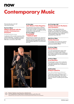# **Contemporary Music**

All events take place in the Hall unless otherwise stated

## **Thu 9 Jun 7.30 pm William Basinski with the London Contemporary Orchestra**

**The Disintegration Loops** 

A celebration of the twentieth anniversary of the ambient masterpiece – arranged for orchestra by the LCO. Plus William Basinski performs his 2020 album *Lamentations*. (£20–27.50\*)

## **Fri 10 Jun 8pm John Waters: False Negative**

The trash king of camp presents a brilliantly twisted comic monologue covering his career, movies, fashion and art – an antibody-shaking spectacle like no other. (£25–40\*)

## **Fri 17 Jun 7.30pm Arooj Aftab + Nabihah Iqbal**

Mixing elements of ambient music, electronics and jazz, built around the cyclical patterns of Sufi music and Urdu poetry. With support from NTS DJ Nabihah Iqbal (FKA Throwing Shade). (£15–20\*)

## **Sun 19 Jun 8pm, Hall Frederic Gassita & The Bantu Jazz Orchestra**

Frederic Gassita leads the Bantu Jazz Orchestra – with a big band, string section, the Eben Voices of Gabon Choir, special guest singers and a dance troupe. A joyful experience weaving together Bantu culture with the spontaneity of jazz. (£20–35\*)

## **Wed 22 Jun 7.30pm Herbie Hancock**

The inimitable and innovative jazz and funk maverick takes to the stage for a blistering performance. (£49.50–69.50\*)

### **Thu 23 Jun 7.30pm Marisa Monte**

One of the greatest Brazilian singers of her generation, she bridges the gap between musical genres and generations, melding jazz, blues and funk rhythms into old-school samba rhythms. (£45-65\*)

### **Fri 24 Jun 7.30pm Brad Mehldau**

Having forged a unique niche in exploratory jazz, classical romanticism, and pop; he's an undeniably influential voice in contemporary jazz. (£25-40\*)

## **Sat 25 Jun 8pm SFJAZZ Collective**

**New Works Reflecting the Moment** 

Premiering new pieces reflecting on seismic global and social changes of recent years – a jazz ensemble of Black origin, they use their work as a vessel for considering social injustice. (£20-35\*)



John Waters



Barbican Members enjoy discounts on selected events. London the Barbican Presents series, London the Barbican P Join Young Barbican and get tickets for selected events for just £5, £10 or £15. \*Booking Fees: £3 per online transaction. Some events have reduced booking fees. Barbican Members don't pay booking fees.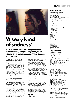

Aftab © Blythe Thomas

# **'A sexy kind of sadness'**

**Singer-composer Arooj Aftab's ethereal music is uncategorisable, incorporating Sufi poetry, jazz, electronica and classical sounds. Ahead of her Barbican debut, the musician shares her collaborative writing process.**

Brooklyn-based Pakistani composer Arooj Aftab's latest album *Vulture Prince* is an extraordinary work and a stand-out release of last year. But she says she wanted to move away from the Asian instrumentation sound of her debut *Bird Under Water* because she was 'feeling a little boxed in by the yoga people'. She laughs: 'Those people who feel like, "Oh, this is some sacred music, some reimagination of mystic music", whatever the fuck that means. I was just like: man, I'm just a rowdy whiskeydrinking crazy person, I don't really think I should align myself with being "the rebirth of Sufi jazz", or whatever the hell. People love to say that, but I was trying to move away from it a bit. So with *Vulture Prince*, I wanted to present a more sexy kind of sadness.'

Writing her spacious, ethereal music is a drawnout yet collaborative affair, she explains. 'I like to say that all of the sad songs wait for me at the bottom of the night. Like, at the end of the night, after many drinks, I think, "Oh, this is such a great idea" and I try to put it somewhere. If it's a truly good idea, it comes back. Or I'll record it. Like 'Saans Lo', I just wrote that one night - I sang it into the voice notes on my phone, and I'm so glad I did that, because the next day, the whole song was there, and I was like, "amazing!" Other times it involves thinking for weeks about how different instruments will come together and what I should do from a mix or arranger's perspective, what type of

human beings would probably enjoy playing together, regardless of the instrument.'

Vibe in the studio is crucial, she says, explaining that as a singer-composer, she aims to 'mind-control' the other musicians into playing the sounds that are in her head. 'I don't like to write it out and give them sheet music – that's such a buzzkill. So the personal connection with the musician is really important to me, and the hang is really important.

'It's really important that they understand and respect me as a composer and understand our roles. And it's important for me to respect them as an emotionally extremely mature musician, who can transcend their instrument and allow me to play my thoughts through them.'

She says music is a solace for her. And always has been. 'I never started writing music to get laid or to achieve fame or grandiosity, or whatever. For me, what comes first is that I write music and songs in order to soothe myself and then put them out for other people. No one fucks with me now because I have Grammy nominations, but there have been times in the past when people were encouraging me to write happy songs. And I was like, fuck off, I don't care what you want. This is for me firstly, and you afterwards.'

**Arooj Aftab**

17 Jun See left for details

## **With thanks**

The City of London Corporation, founder and principal funder

#### **Major Supporters**

Arts Council England Calouste Gulbenkian Foundation (UK Branch) Esmeé Fairbairn Foundation SHM Foundation Sir Siegmund Warburg's Voluntary Settlement Terra Foundation for American Art Wellcome

### **Leading Supporters**

Crystal Amber Fund Trevor Fenwick and Jane Hindley Mr Gregory Jankilevitsch Marcus Margulies SHM Foundation

#### **Corporate Supporters**

American Express Audible Bank of America Bloomberg DLA Piper Ecosia Howden M&A **Linklaters** Meta Norton Rose Fulbright Pinsent Masons Slaughter and May South Place Hotel Taittinger Champagne **UBS** 

## **Trusts & Grantmakers**

Art Fund Australian High Commission Boshier-Hinton Foundation Carolee Schneemann Foundation CHK Foundation Cockayne – Grants for the Arts Creative Europe Programme for the European Union Embassy of the Kingdom of the Netherlands Europa Cinemas Finnish Institute in the UK and Ireland Helen Frankenthaler Foundation Idlewild Trust Institut français du Royaume-Uni Italian Cultural Institute London Leche Trust Mactaggart Third Fund Noël Coward Foundation Performing Arts Fund NL Royal Norwegian Embassy in London The Allan and Nesta Ferguson Charitable Trust The Boris Karloff Charitable Foundation The Clare McKeon Charitable Trust The D'Oyly Carte Charitable Trust The Golsoncott Foundation The Harold Hyam Wingate Foundation The Henry Moore Foundation The London Community Foundation The Rainbow Dickinson Trust The Rudge Shipley Charitable Trust Tom ap Rhys Pryce Memorial Trust Tower Hill Trust

We also want to thank the Barbican Patrons, donors to Name a Seat and those who contribute to the Barbican Fund.

If you're interested in supporting the Barbican Centre Trust, visit barbican.org.uk/ supportus or contact us on 0207 382 6185 or development@barbican.org.uk The Barbican Centre Trust, registered charity no. 294282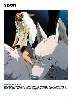## **soon**



## **23–28 Aug, Sculpture Court Outdoor Cinemas Season**

Join us this summer for a week of open-air screenings set against the spectacular architectural backdrop of our Centre. Among the films we're showing are Julie Dash's *Daughters of the Dust*, the wonderful *Princess Mononoke*, from Studio Ghibli and experimental adult animated science fiction film *Fantastic Planet* (La planete sauvage), from French animator Réne Laloux. Seeing films in the Sculpture Court is a rare treat, so don't miss the opportunity to catch these movies specially-selected by our Cinema programmers in a unique setting.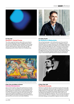

## **Fri 7 Oct, Hall Autechre + Zoviet France**

The cult duo make their Barbican debut with two rare shows in one evening. Performing as usual in complete darkness, they'll play music from 2020 albums *PLUS* and *SIGNS*, as well as tracks from their extensive back catalogue. Opening will be industrial/ ambient outfit Zoviet France, who formed in the early 80s alongside groups like Cabaret Voltaire and Throbbing Gristle.



Countertenor Iestyn Davies will perform in the world premiere of An Anatomy of Melancholy. © Chris Sorensen

## **27–30 Oct, The Pit An Anatomy of Melancholy**

This new theatrical creation, which will be performed in the round in the intimate setting of The Pit – is a portrait of a man engaged in a forensic examination of his own sadness. Drawing on the work of Robert Burton (*The Anatomy of Melancholy*), Sigmund Freud (*Mourning and Melancholia*), and Darian Leader (*The New Black*), plus other contemporary psychoanalysts, it takes inspiration from the notion of art as a consolation. Countertenor Iestyn Davies, lutenist Thomas Dunford and director Netia Jones present this staged performance with live and immersive video projection, featuring some of the most exquisite and heart-rending music ever composed: the songs of melancholy by English Renaissance composer John Dowland.



Personae: J.T. and Three Kitchs, 1957. Courtesy of the Carolee Schneemann Foundation and Galerie Lelong & Co., Hales Gallery, and P.P.O.W, New York and © Carolee Schneemann / ARS, New York and DACS, London 2022

## **8 Sep–8 Jan, Art Gallery & Cinema Carolee Schneemann**

Delve into the breadth of radical artist and feminist icon Carolee Schneemann's work in this exhibition and accompanying cinema season. Schneemann tackled topics from sexual expression and the objectification of women to human suffering and the violence of war. Our retrospective includes the artist's early paintings; her experimental sculptural assemblages; her performance work in which she used her own body as a medium; group performances; plus lyrical films and immersive multi-media installations.



## **31 Aug–4 Sep, Hall The Divine Comedy**

Neil Hannon celebrates 30 years as the Divine Comedy with a five-night concert run, playing two albums each night. Considered one of the finest singer-songwriters of his generation, Hannon signed his first record deal in 1990, and has since released hits including 'National Express' and 'Something for the Weekend' as well as more esoteric tracks such as 'Count Grassi's Passage Over Piedmont'. This is a one-time-only chance to immerse yourself in Hannon's imaginative world, as he plays virtually his entire back catalogue, accompanied on stage by a ten piece ensemble.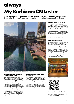# **always**

# **My Barbican: CN Lester**

**The writer, musician, academic, leading LGBTQ+ activist, and founder of cross-genre trans artist showcase Transpose, shares their favourite places around the Centre.**



CN Lester likes to remember their brother at the sunken seating by the lake, seen here on the right hand side.

#### **The sunken seating by the lake, just outside Barbican Kitchen**

The little sunken circular points right by the water's edge on the Lakeside Terrace are my absolute favourite parts of the Barbican, and the most personal to me. My BMus graduation ceremony was held at the Centre, and it had been a long and difficult path to get there. It took four years for a three-year course, mostly filled with my own life-altering medical problems and treatments, and then completed under the shadow of my brother's (not yet but soon to be terminal) cancer diagnosis. After the ceremony, my family and I went out onto the Terrace to enjoy the sunshine; my brother and I got down into one of the sunken circles and smiled for the camera, his arm around my shoulders. I like to go there now with a cup of coffee and remember.

#### **The workstations at the back of the Music Library**

If you go through the Barbican Library, then onwards through the Music Library, you get to a windowless space right at the back with one large desk and a handful of narrow, separate workstations, dimly lit, with no view and no distractions. Those workstations were a crucial factor in completing my PhD, when I couldn't trust myself to do the work at home (a lovely view, lots of distractions). Libraries are magic places, even the dullest parts.

#### **The Wings, Stage Left, Pit Theatre**

I love being in the audience for live performances, but nothing beats being in the wings, either waiting to go on, or watching the other acts. *Transpose* came to Barbican in 2016, and *Transpose: JOY* [31 Mar-2 Apr] marked its fourth iteration in The Pit. Those moments in the wings, feeling and hearing the audience react to the talents of the artists, listening to the stage manager queuing up the next state change, making last minute costume alterations or running lyrics for the final time – those moments are some of my most treasured memories.

#### **The Pit Theatre green room**

One of the small things I've missed most during the pandemic has been theatre green rooms and kitchens – the tired furniture, old mugs, endless cups of coffee and packets of biscuits. You get the best gossip while you're on a fifteenminute tea break, and a chance to get to know each other without the gloss of performance – who's messaging their partner, who's catching up on their paperwork, who's napping on the couch. It's good to know that no matter how impressive the show, there's always going to be somebody brewing ten cups of tea and worrying about how much milk is left.



Workstations at the Barbican Music Library.



You can watch *Transpose: JOY*, the fourth iteration of CN Lester's showcase of work by trans artists - just scan this QR code using your phone and follow the link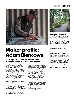## **now soon always**



A detail from one of Adam Blencowe's innovative new works marking the 40th anniversary of the opening of our Centre © Dave Watts

# **Maker profile: Adam Blencowe**

## **The designer talks us through his latest work, available in the Barbican Shop from this month.**

'I'm a big believer in innovation,' says designer Adam Blencowe. 'That's what's important to me – trying to find new territory that hasn't been explored before.'

For his latest work, Blencowe has invented a radical new technique that brings together the ancient craft of felting with digital technology. Using a hacked jigsaw and a CNC machine programmed with each design, he can create images using felted wool, producing rich textural surface patterns and revealing the contrast between differing fibres. These works are made using reconstituted wool yarn from the fashion industry.

To mark the 40th anniversary of the opening of the Barbican Centre, Blencowe has used the technique to develop six felt works that can be hung on a wall, featuring designs inspired by the building and its architectural features. Shapes Barbican uses ideas such as the panelling and doors of the Hall, the new-look wall-treatment in Cinema 1, ceiling grilles in the Art Gallery and ventilation details from the Foyer. They look striking individually, but would also sit incredibly well brought together as a full set.

'I've been to the theatre, the cinema, I've

watched concerts, so I've experienced the Barbican's spaces many times. Something that's always struck me about the building is it has a language across the different areas. That's different from a lot of buildings, he says. 'As someone who's visual, these elements act as a nonverbal signpost. So that's what seemed to be the most interesting thing to pull out and celebrate.'

These works launch Blencowe's That Felt Good series of works, all created from his self-built Nissen hut studio near Bruton in Somerset. The technique is proving to have innovative applications for floor-covering, upholstery and fashion fabrics. It is well suited to flexible small-scale production and unique works, and he says he hopes to be able to take it around the country, enabling people who might not have access to technology to design and create their own works.

You can find Shapes Barbican in our Shop on Level G or online.



## **New perspectives**

Holly Hang, @photoxcore\_archive took this wonderful photo in our Conservatory. She says: 'I used to spend time sitting in the Barbican estate before work, people-watching and read a book. It was also a great meeting place and visit an exhibition with friends. I would also take photos of the plants in the Conservatory and enjoy the Brutalist architecture. These photos represent how much appreciation I have for the Barbican. It's a safe space that I hope to continue to enjoy for many more years.'

## **Drink with a view**

Barbican Kitchen is the perfect spot for warmweather drinks with friends by the Lakeside. The spacious outdoor seating area means you can grab a bite to eat, a coffee, juice (or something stronger) and enjoy them in the sun. With views across the water to St Giles Cripplegate Church, it's lovely for relaxing alone or as somewhere to catch up and chat. If you're hungry, choose from light bites, salads and sandwiches or more substantial meals – including mouth-watering pizzas. Find Barbican Kitchen on Level G.